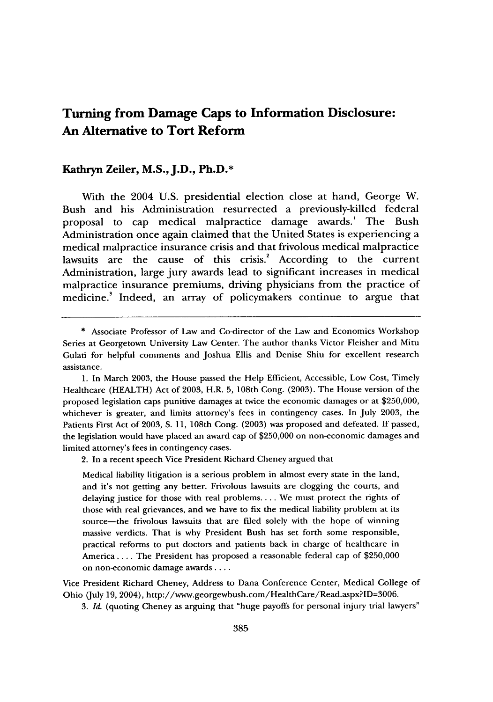# **Turning from Damage Caps to Information Disclosure: An Alternative to Tort Reform**

#### **Kathryn Zeiler, M.S., J.D., Ph.D.\***

With the 2004 **U.S.** presidential election close at hand, George W. Bush and his Administration resurrected a previously-killed federal proposal to cap medical malpractice damage awards.' The Bush Administration once again claimed that the United States is experiencing a medical malpractice insurance crisis and that frivolous medical malpractice lawsuits are the cause of this crisis.<sup>2</sup> According to the current Administration, large jury awards lead to significant increases in medical malpractice insurance premiums, driving physicians from the practice of medicine.' Indeed, an array of policymakers continue to argue that

2. In a recent speech Vice President Richard Cheney argued that

Medical liability litigation is a serious problem in almost every state in the land, and it's not getting any better. Frivolous lawsuits are clogging the courts, and delaying justice for those with real problems.... We must protect the rights of those with real grievances, and we have to fix the medical liability problem at its source-the frivolous lawsuits that are filed solely with the hope of winning massive verdicts. That is why President Bush has set forth some responsible, practical reforms to put doctors and patients back in charge of healthcare in America .... The President has proposed a reasonable federal cap of \$250,000 on non-economic damage awards ....

Vice President Richard Cheney, Address to Dana Conference Center, Medical College of Ohio (July 19, 2004), http://www.georgewbush.com/HealthCare/Read.aspx?ID=3006.

3. *Id.* (quoting Cheney as arguing that "huge payoffs for personal injury trial lawyers"

**<sup>\*</sup>** Associate Professor of Law and Co-director of the Law and Economics Workshop Series at Georgetown University Law Center. The author thanks Victor Fleisher and Mitu Gulati for helpful comments and Joshua Ellis and Denise Shiu for excellent research assistance.

<sup>1.</sup> In March 2003, the House passed the Help Efficient, Accessible, Low Cost, Timely Healthcare (HEALTH) Act of 2003, H.R. **5,** 108th Cong. (2003). The House version of the proposed legislation caps punitive damages at twice the economic damages or at \$250,000, whichever is greater, and limits attorney's fees in contingency cases. In July 2003, the Patients First Act of 2003, S. 11, 108th Cong. (2003) was proposed and defeated. If passed, the legislation would have placed an award cap of \$250,000 on non-economic damages and limited attorney's fees in contingency cases.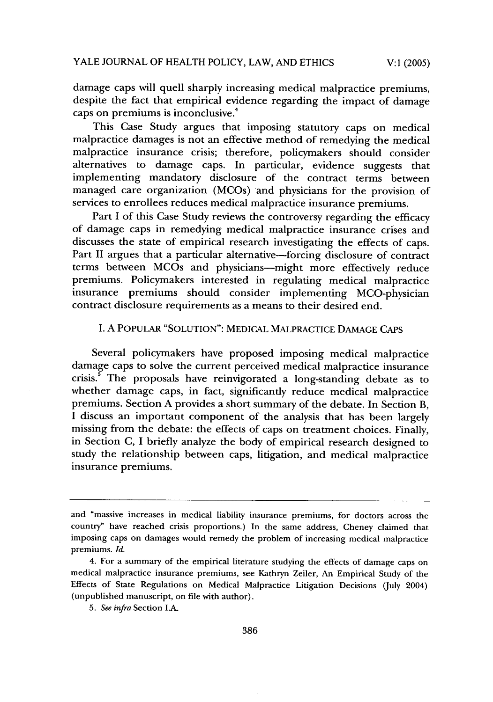damage caps will quell sharply increasing medical malpractice premiums, despite the fact that empirical evidence regarding the impact of damage caps on premiums is inconclusive.4

This Case Study argues that imposing statutory caps on medical malpractice damages is not an effective method of remedying the medical malpractice insurance crisis; therefore, policymakers should consider alternatives to damage caps. In particular, evidence suggests that implementing mandatory disclosure of the contract terms between managed care organization (MCOs) and physicians for the provision of services to enrollees reduces medical malpractice insurance premiums.

Part I of this Case Study reviews the controversy regarding the efficacy of damage caps in remedying medical malpractice insurance crises and discusses the state of empirical research investigating the effects of caps. Part II argues that a particular alternative-forcing disclosure of contract terms between MCOs and physicians-might more effectively reduce premiums. Policymakers interested in regulating medical malpractice insurance premiums should consider implementing MCO-physician contract disclosure requirements as a means to their desired end.

#### I. A POPULAR "SOLUTION": MEDICAL MALPRACTICE DAMAGE CAPS

Several policymakers have proposed imposing medical malpractice damage caps to solve the current perceived medical malpractice insurance crisis.<sup> $5$ </sup> The proposals have reinvigorated a long-standing debate as to whether damage caps, in fact, significantly reduce medical malpractice premiums. Section A provides a short summary of the debate. In Section B, I discuss an important component of the analysis that has been largely missing from the debate: the effects of caps on treatment choices. Finally, in Section C, I briefly analyze the body of empirical research designed to study the relationship between caps, litigation, and medical malpractice insurance premiums.

and "massive increases in medical liability insurance premiums, for doctors across the country" have reached crisis proportions.) In the same address, Cheney claimed that imposing caps on damages would remedy the problem of increasing medical malpractice premiums. *Id.*

<sup>4.</sup> For a summary of the empirical literature studying the effects of damage caps on medical malpractice insurance premiums, see Kathryn Zeiler, An Empirical Study of the Effects of State Regulations on Medical Malpractice Litigation Decisions (July 2004) (unpublished manuscript, on file with author).

*<sup>5.</sup> See infra* Section I.A.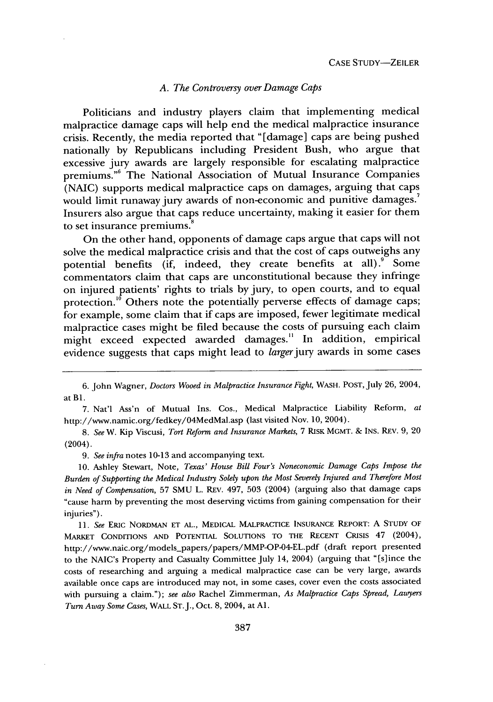#### *A. The Controversy over Damage Caps*

Politicians and industry players claim that implementing medical malpractice damage caps will help end the medical malpractice insurance crisis. Recently, the media reported that "[damage] caps are being pushed nationally by Republicans including President Bush, who argue that excessive jury awards are largely responsible for escalating malpractice premiums."6 The National Association of Mutual Insurance Companies (NAIC) supports medical malpractice caps on damages, arguing that caps would limit runaway jury awards of non-economic and punitive damages.<sup>7</sup> Insurers also argue that caps reduce uncertainty, making it easier for them to set insurance premiums."

On the other hand, opponents of damage caps argue that caps will not solve the medical malpractice crisis and that the cost of caps outweighs any potential benefits (if, indeed, they create benefits at all). Some commentators claim that caps are unconstitutional because they infringe on injured patients' rights to trials by jury, to open courts, and to equal protection.<sup>16</sup> Others note the potentially perverse effects of damage caps; for example, some claim that if caps are imposed, fewer legitimate medical malpractice cases might be filed because the costs of pursuing each claim might exceed expected awarded damages." In addition, empirical evidence suggests that caps might lead to *larger* jury awards in some cases

7. Nat'l Ass'n of Mutual Ins. Cos., Medical Malpractice Liability Reform, *at* http://www.namic.org/fedkey/04MedMal.asp (last visited Nov. **10,** 2004).

*8. See* W. Kip Viscusi, *Tort Reform and Insurance Markets,* 7 RISK MGMT. **&** INS. REV. 9, 20 (2004).

*9. See infta* notes 10-13 and accompanying text.

10. Ashley Stewart, Note, *Texas' House Bill Four's Noneconomic Damage Caps Impose the Burden of Supporting the Medical Industry Solely upon the Most Severely Injured and Therefore Most in Need of Compensation,* 57 SMU L. REV. 497, 503 (2004) (arguing also that damage caps "cause harm by preventing the most deserving victims from gaining compensation for their injuries").

*11. See* ERIC NORDMAN **ET AL., MEDICAL MALPRACTICE INSURANCE** REPORT: A **STUDY** OF MARKET **CONDITONS AND POTENTIAL SOLUTIONS** TO THE RECENT CRISIS 47 (2004), http://www.naic.org/models-papers/papers/MMP-OP-04-EL.pdf (draft report presented to the NAIC's Property and Casualty Committee July 14, 2004) (arguing that "[s]ince the costs of researching and arguing a medical malpractice case can be very large, awards available once caps are introduced may not, in some cases, cover even the costs associated with pursuing a claim."); *see also* Rachel Zimmerman, *As Malpractice Caps Spread, Lawyers Turn Away Some Cases,* WALL ST.J., Oct. 8, 2004, at **Al.**

<sup>6.</sup> John Wagner, *Doctors Wooed in Malpractice Insurance Fight,* WASH. POST, July 26, 2004, at BI.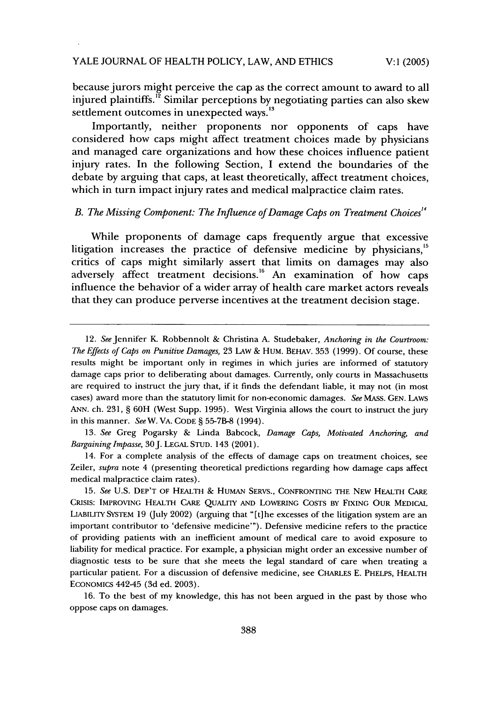because jurors might perceive the cap as the correct amount to award to all injured plaintiffs.<sup>12</sup> Similar perceptions by negotiating parties can also skew settlement outcomes in unexpected ways.<sup>13</sup>

Importantly, neither proponents nor opponents of caps have considered how caps might affect treatment choices made by physicians and managed care organizations and how these choices influence patient injury rates. In the following Section, I extend the boundaries of the debate by arguing that caps, at least theoretically, affect treatment choices, which in turn impact injury rates and medical malpractice claim rates.

#### *B. The Missing Component: The Influence of Damage Caps on Treatment Choices*<sup>14</sup>

While proponents of damage caps frequently argue that excessive litigation increases the practice of defensive medicine by physicians, $<sup>15</sup>$ </sup> critics of caps might similarly assert that limits on damages may also adversely affect treatment decisions.<sup>16</sup> An examination of how caps influence the behavior of a wider array of health care market actors reveals that they can produce perverse incentives at the treatment decision stage.

13. *See* Greg Pogarsky & Linda Babcock, *Damage Caps, Motivated Anchoring, and Bargaining Impasse,* 30 *J. LEGAL STUD.* 143 (2001).

14. For a complete analysis of the effects of damage caps on treatment choices, see Zeiler, *supra* note 4 (presenting theoretical predictions regarding how damage caps affect medical malpractice claim rates).

15. *See* U.S. DEP'T OF HEALTH & HUMAN SERVS., CONFRONTING THE NEW HEALTH CARE CRISIS: IMPROVING HEALTH CARE QUALITY AND LOWERING COSTS BY FIXING OUR MEDICAL LIABILITY SYSTEM 19 (July 2002) (arguing that "[t]he excesses of the litigation system are an important contributor to 'defensive medicine'"). Defensive medicine refers to the practice of providing patients with an inefficient amount of medical care to avoid exposure to liability for medical practice. For example, a physician might order an excessive number of diagnostic tests to be sure that she meets the legal standard of care when treating a particular patient. For a discussion of defensive medicine, see CHARLES E. PHELPS, HEALTH ECONOMICS 44245 (3d ed. 2003).

16. To the best of my knowledge, this has not been argued in the past by those who oppose caps on damages.

<sup>12.</sup> See Jennifer K. Robbennolt & Christina A. Studebaker, *Anchoring in the Courtroom*: *The Effects of Caps on Punitive Damages,* 23 LAw & HUM. BEHAV. 353 (1999). Of course, these results might be important only in regimes in which juries are informed of statutory damage caps prior to deliberating about damages. Currently, only courts in Massachusetts are required to instruct the jury that, if it finds the defendant liable, it may not (in most cases) award more than the statutory limit for non-economic damages. *See* MASS. GEN. LAWS ANN. ch. 231, § 60H (West Supp. 1995). West Virginia allows the court to instruct the jury in this manner. *SeeW.* VA. CODE § 55-7B-8 (1994).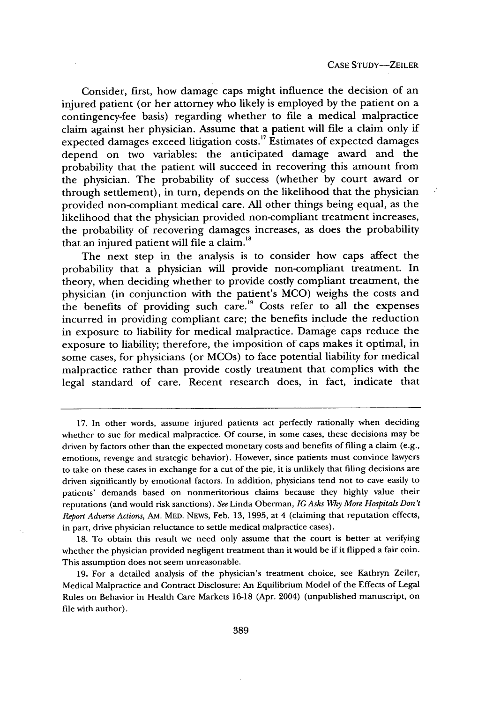Consider, first, how damage caps might influence the decision of an injured patient (or her attorney who likely is employed by the patient on a contingency-fee basis) regarding whether to file a medical malpractice claim against her physician. Assume that a patient will file a claim only if expected damages exceed litigation costs.<sup>17</sup> Estimates of expected damages depend on two variables: the anticipated damage award and the probability that the patient will succeed in recovering this amount from the physician. The probability of success (whether by court award or through settlement), in turn, depends on the likelihood that the physician provided non-compliant medical care. All other things being equal, as the likelihood that the physician provided non-compliant treatment increases, the probability of recovering damages increases, as does the probability that an injured patient will file a claim.<sup>18</sup>

The next step in the analysis is to consider how caps affect the probability that a physician will provide non-compliant treatment. In theory, when deciding whether to provide costly compliant treatment, the physician (in conjunction with the patient's MCO) weighs the costs and the benefits of providing such care.<sup>19</sup> Costs refer to all the expenses incurred in providing compliant care; the benefits include the reduction in exposure to liability for medical malpractice. Damage caps reduce the exposure to liability; therefore, the imposition of caps makes it optimal, in some cases, for physicians (or MCOs) to face potential liability for medical malpractice rather than provide costly treatment that complies with the legal standard of care. Recent research does, in fact, indicate that

<sup>17.</sup> In other words, assume injured patients act perfectly rationally when deciding whether to sue for medical malpractice. Of course, in some cases, these decisions may be driven by factors other than the expected monetary costs and benefits of filing a claim (e.g., emotions, revenge and strategic behavior). However, since patients must convince lawyers to take on these cases in exchange for a cut of the pie, it is unlikely that filing decisions are driven significantly by emotional factors. In addition, physicians tend not to cave easily to patients' demands based on nonmeritorious claims because they highly value their reputations (and would risk sanctions). *See* Linda Oberman, *IG Asks Why More Hospitals Don't Report Adverse Actions,* AM. MED. **NEWS,** Feb. 13, 1995, at 4 (claiming that reputation effects, in part, drive physician reluctance to settle medical malpractice cases).

<sup>18.</sup> To obtain this result we need only assume that the court is better at verifying whether the physician provided negligent treatment than it would be if it flipped a fair coin. This assumption does not seem unreasonable.

<sup>19.</sup> For a detailed analysis of the physician's treatment choice, see Kathryn Zeiler, Medical Malpractice and Contract Disclosure: An Equilibrium Model of the Effects of Legal Rules on Behavior in Health Care Markets **16-18** (Apr. 2004) (unpublished manuscript, on file with author).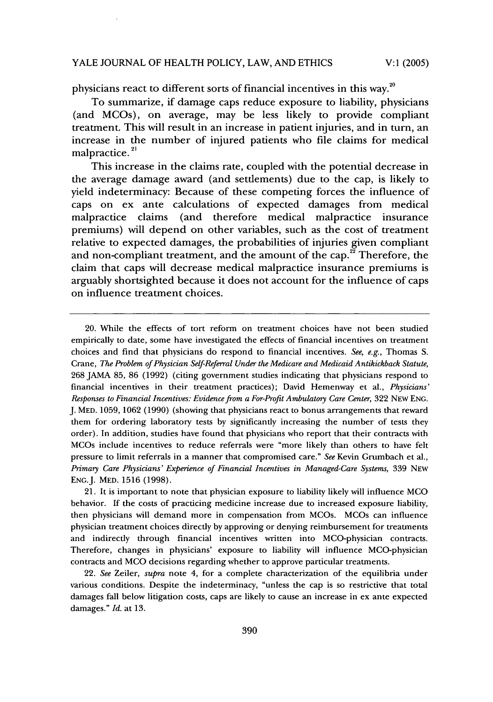#### YALE JOURNAL OF HEALTH POLICY, LAW, AND ETHICS  $V:1$  (2005)

physicians react to different sorts of financial incentives in this way.

To summarize, if damage caps reduce exposure to liability, physicians (and MCOs), on average, may be less likely to provide compliant treatment. This will result in an increase in patient injuries, and in turn, an increase in the number of injured patients who file claims for medical malpractice.<sup>21</sup>

This increase in the claims rate, coupled with the potential decrease in the average damage award (and settlements) due to the cap, is likely to yield indeterminacy: Because of these competing forces the influence of caps on ex ante calculations of expected damages from medical malpractice claims (and therefore medical malpractice insurance premiums) will depend on other variables, such as the cost of treatment relative to expected damages, the probabilities of injuries given compliant and non-compliant treatment, and the amount of the cap. $^{22}$  Therefore, the claim that caps will decrease medical malpractice insurance premiums is arguably shortsighted because it does not account for the influence of caps on influence treatment choices.

20. While the effects of tort reform on treatment choices have not been studied empirically to date, some have investigated the effects of financial incentives on treatment choices and find that physicians do respond to financial incentives. *See, e.g.,* Thomas S. Crane, *The Problem of Physician Self-Referral Under the Medicare and Medicaid Antikickback Statute,* 268 JAMA 85, 86 (1992) (citing government studies indicating that physicians respond to financial incentives in their treatment practices); David Hemenway et al., *Physicians' Responses to Financial Incentives: Evidence from a For-Profit Ambulatory Care Center,* 322 NEW ENG. J. MED. 1059, 1062 (1990) (showing that physicians react to bonus arrangements that reward them for ordering laboratory tests by significantly increasing the number of tests they order). In addition, studies have found that physicians who report that their contracts with MCOs include incentives to reduce referrals were "more likely than others to have felt pressure to limit referrals in a manner that compromised care." *See* Kevin Grumbach et al., *Primary Care Physicians' Experience of Financial Incentives in Managed-Care Systems,* 339 NEW ENG.J. MED. 1516 (1998).

21. It is important to note that physician exposure to liability likely will influence MCO behavior. If the costs of practicing medicine increase due to increased exposure liability, then physicians will demand more in compensation from MCOs. MCOs can influence physician treatment choices directly by approving or denying reimbursement for treatments and indirectly through financial incentives written into MCO-physician contracts. Therefore, changes in physicians' exposure to liability will influence MCO-physician contracts and MCO decisions regarding whether to approve particular treatments.

22. *See* Zeiler, *supra* note 4, for a complete characterization of the equilibria under various conditions. Despite the indeterminacy, "unless the cap is so restrictive that total damages fall below litigation costs, caps are likely to cause an increase in ex ante expected damages." *Id.* at 13.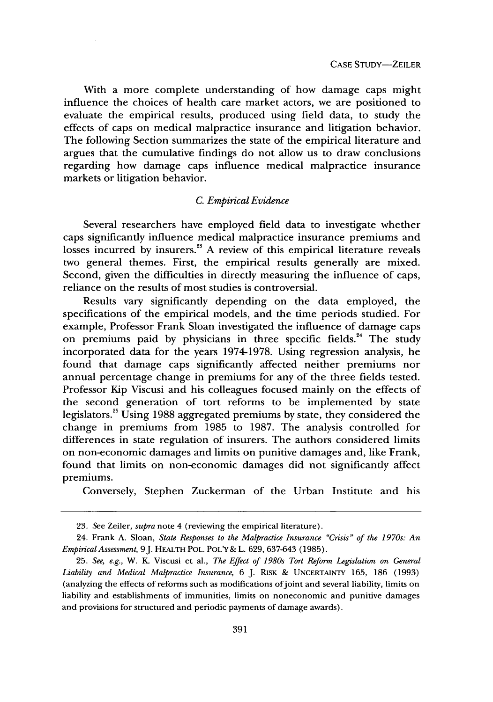With a more complete understanding of how damage caps might influence the choices of health care market actors, we are positioned to evaluate the empirical results, produced using field data, to study the effects of caps on medical malpractice insurance and litigation behavior. The following Section summarizes the state of the empirical literature and argues that the cumulative findings do not allow us to draw conclusions regarding how damage caps influence medical malpractice insurance markets or litigation behavior.

#### *C. Empirical Evidence*

Several researchers have employed field data to investigate whether caps significantly influence medical malpractice insurance premiums and losses incurred by insurers.<sup>23</sup> A review of this empirical literature reveals two general themes. First, the empirical results generally are mixed. Second, given the difficulties in directly measuring the influence of caps, reliance on the results of most studies is controversial.

Results vary significantly depending on the data employed, the specifications of the empirical models, and the time periods studied. For example, Professor Frank Sloan investigated the influence of damage caps on premiums paid by physicians in three specific fields.<sup>24</sup> The study incorporated data for the years 1974-1978. Using regression analysis, he found that damage caps significantly affected neither premiums nor annual percentage change in premiums for any of the three fields tested. Professor Kip Viscusi and his colleagues focused mainly on the effects of the second generation of tort reforms to be implemented by state legislators.<sup>25</sup> Using 1988 aggregated premiums by state, they considered the change in premiums from 1985 to 1987. The analysis controlled for differences in state regulation of insurers. The authors considered limits on non-economic damages and limits on punitive damages and, like Frank, found that limits on non-economic damages did not significantly affect premiums.

Conversely, Stephen Zuckerman of the Urban Institute and his

<sup>23.</sup> See Zeiler, *supra* note 4 (reviewing the empirical literature).

<sup>24.</sup> Frank A. Sloan, *State Responses to the Malpractice Insurance "Crisis" of the 1970s: An Empirical Assessment,* 9J. HEALTH POL. POL'Y& L. 629, 637-643 (1985).

<sup>25.</sup> *See, e.g.,* W. **F.** Viscusi et al., *The Effect of 1980s Tort Reform Legislation on General Liability and Medical Malpractice Insurance,* 6 J. RISK & **UNCERTAINTY** 165, 186 (1993) (analyzing the effects of reforms such as modifications of joint and several liability, limits on liability and establishments of immunities, limits on noneconomic and punitive damages and provisions for structured and periodic payments of damage awards).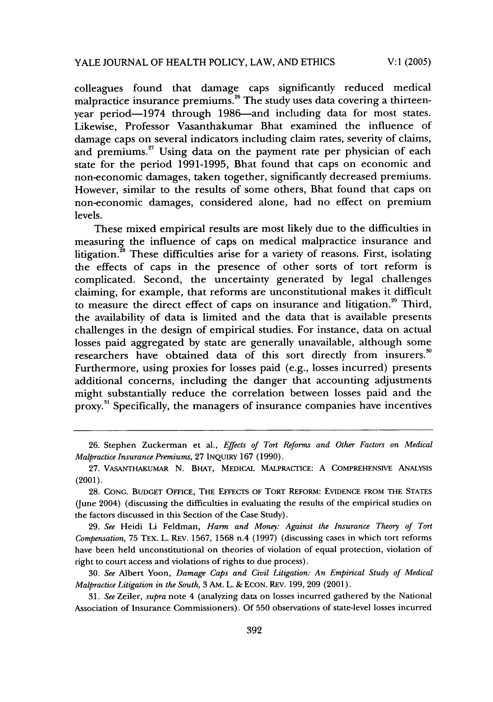V: **1 (2005)**

colleagues found that damage caps significantly reduced medical malpractice insurance premiums.<sup>26</sup> The study uses data covering a thirteenyear period-1974 through 1986-and including data for most states. Likewise, Professor Vasanthakumar Bhat examined the influence of damage caps on several indicators including claim rates, severity of claims, and premiums.<sup>27</sup> Using data on the payment rate per physician of each state for the period 1991-1995, Bhat found that caps on economic and non-economic damages, taken together, significantly decreased premiums. However, similar to the results of some others, Bhat found that caps on non-economic damages, considered alone, had no effect on premium levels.

These mixed empirical results are most likely due to the difficulties in measuring the influence of caps on medical malpractice insurance and litigation.<sup>28</sup> These difficulties arise for a variety of reasons. First, isolating the effects of caps in the presence of other sorts of tort reform is complicated. Second, the uncertainty generated by legal challenges claiming, for example, that reforms are unconstitutional makes it difficult to measure the direct effect of caps on insurance and litigation.<sup>29</sup> Third, the availability of data is limited and the data that is available presents challenges in the design of empirical studies. For instance, data on actual losses paid aggregated by state are generally unavailable, although some researchers have obtained data of this sort directly from insurers.<sup>30</sup> Furthermore, using proxies for losses paid (e.g., losses incurred) presents additional concerns, including the danger that accounting adjustments might substantially reduce the correlation between losses paid and the proxy.<sup>31</sup> Specifically, the managers of insurance companies have incentives

29. *See* Heidi Li Feldman, *Harm and Money: Against the Insurance Theory of Tort Compensation,* 75 TEX. L. REV. 1567, 1568 n.4 (1997) (discussing cases in which tort reforms have been held unconstitutional on theories of violation of equal protection, violation of right to court access and violations of rights to due process).

30. *See* Albert Yoon, *Damage Caps and Civil Litigation: An Empirical Study of Medical Malpractice Litigation in the South,* 3 AM. L. & ECON. REV. 199, 209 (2001).

31. *See* Zeiler, *supra* note 4 (analyzing data on losses incurred gathered by the National Association of Insurance Commissioners). Of 550 observations of state-level losses incurred

<sup>26.</sup> Stephen Zuckerman et al., *Effects of Tort Reforms and Other Factors on Medical Malpractice Insurance Premiums,* 27 INQUIRY 167 (1990).

<sup>27.</sup> VASANTHAKUMAR N. BHAT, MEDICAL MALPRACTICE: A COMPREHENSIVE ANALYSIS (2001).

<sup>28.</sup> CONG. BUDGET OFFICE, THE EFFECTS OF TORT REFORM: EVIDENCE FROM THE STATES (June 2004) (discussing the difficulties in evaluating the results of the empirical studies on the factors discussed in this Section of the Case Study).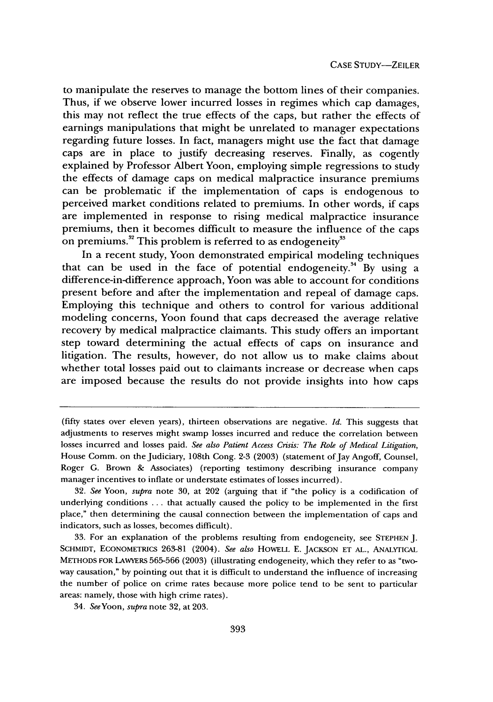to manipulate the reserves to manage the bottom lines of their companies. Thus, if we observe lower incurred losses in regimes which cap damages, this may not reflect the true effects of the caps, but rather the effects of earnings manipulations that might be unrelated to manager expectations regarding future losses. In fact, managers might use the fact that damage caps are in place to justify decreasing reserves. Finally, as cogently explained by Professor Albert Yoon, employing simple regressions to study the effects of damage caps on medical malpractice insurance premiums can be problematic if the implementation of caps is endogenous to perceived market conditions related to premiums. In other words, if caps are implemented in response to rising medical malpractice insurance premiums, then it becomes difficult to measure the influence of the caps on premiums.<sup>32</sup> This problem is referred to as endogeneity<sup>33</sup>

In a recent study, Yoon demonstrated empirical modeling techniques that can be used in the face of potential endogeneity.<sup>34</sup> By using a difference-in-difference approach, Yoon was able to account for conditions present before and after the implementation and repeal of damage caps. Employing this technique and others to control for various additional modeling concerns, Yoon found that caps decreased the average relative recovery by medical malpractice claimants. This study offers an important step toward determining the actual effects of caps on insurance and litigation. The results, however, do not allow us to make claims about whether total losses paid out to claimants increase or decrease when caps are imposed because the results do not provide insights into how caps

<sup>(</sup>fifty states over eleven years), thirteen observations are negative. *Id.* This suggests that adjustments to reserves might swamp losses incurred and reduce the correlation between losses incurred and losses paid. *See also Patient Access Crisis: The Role of Medical Litigation,* House Comm. on the Judiciary, 108th Cong. 2-3 (2003) (statement of Jay Angoff, Counsel, Roger **G.** Brown & Associates) (reporting testimony describing insurance company manager incentives to inflate or understate estimates of losses incurred).

<sup>32.</sup> *See* Yoon, *supra* note 30, at 202 (arguing that if "the policy is a codification of underlying conditions ... that actually caused the policy to be implemented in the first place," then determining the causal connection between the implementation of caps and indicators, such as losses, becomes difficult).

<sup>33.</sup> For an explanation of the problems resulting from endogeneity, see STEPHEN J. SCHMIDT, ECONOMETRICS 263-81 (2004). *See also* HoWELL E. JACKSON ET AL., ANALYTICAL METHODS FOR LAWYERS 565-566 (2003) (illustrating endogeneity, which they refer to as "twoway causation," by pointing out that it is difficult to understand the influence of increasing the number of police on crime rates because more police tend to be sent to particular areas: namely, those with high crime rates).

<sup>34.</sup> *See* Yoon, *supra* note 32, at 203.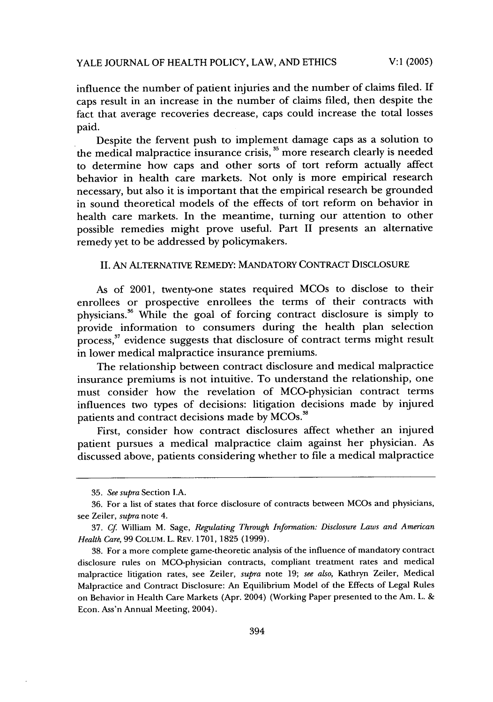influence the number of patient injuries and the number of claims filed. If caps result in an increase in the number of claims filed, then despite the fact that average recoveries decrease, caps could increase the total losses paid.

Despite the fervent push to implement damage caps as a solution to the medical malpractice insurance crisis, **15** more research clearly is needed to determine how caps and other sorts of tort reform actually affect behavior in health care markets. Not only is more empirical research necessary, but also it is important that the empirical research be grounded in sound theoretical models of the effects of tort reform on behavior in health care markets. In the meantime, turning our attention to other possible remedies might prove useful. Part II presents an alternative remedy yet to be addressed by policymakers.

II. AN ALTERNATIVE REMEDY: MANDATORY CONTRACT DISCLOSURE

As of 2001, twenty-one states required MCOs to disclose to their enrollees or prospective enrollees the terms of their contracts with physicians.<sup>36</sup> While the goal of forcing contract disclosure is simply to provide information to consumers during the health plan selection process, $^{37}$  evidence suggests that disclosure of contract terms might result in lower medical malpractice insurance premiums.

The relationship between contract disclosure and medical malpractice insurance premiums is not intuitive. To understand the relationship, one must consider how the revelation of MCO-physician contract terms influences two types of decisions: litigation decisions made by injured patients and contract decisions made by MCOs.<sup>38</sup>

First, consider how contract disclosures affect whether an injured patient pursues a medical malpractice claim against her physician. As discussed above, patients considering whether to file a medical malpractice

<sup>35.</sup> *See supra* Section I.A.

<sup>36.</sup> For a list of states that force disclosure of contracts between MCOs and physicians, see Zeiler, *supra* note 4.

<sup>37.</sup> *Cf* William M. Sage, *Regulating Through Information: Disclosure Laws and American Health Care,* 99 COLUM. L. REv. 1701, 1825 (1999).

<sup>38.</sup> For a more complete game-theoretic analysis of the influence of mandatory contract disclosure rules on MCO-physician contracts, compliant treatment rates and medical malpractice litigation rates, see Zeiler, *supra* note 19; *see also,* Kathryn Zeiler, Medical Malpractice and Contract Disclosure: An Equilibrium Model of the Effects of Legal Rules on Behavior in Health Care Markets (Apr. 2004) (Working Paper presented to the Am. L. & Econ. Ass'n Annual Meeting, 2004).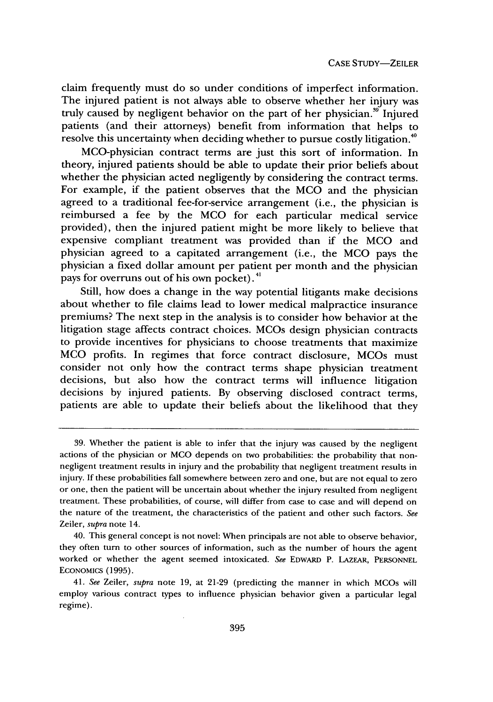claim frequently must do so under conditions of imperfect information. The injured patient is not always able to observe whether her injury was truly caused by negligent behavior on the part of her physician.<sup>39</sup> Injured patients (and their attorneys) benefit from information that helps to resolve this uncertainty when deciding whether to pursue costly litigation.<sup>40</sup>

MCO-physician contract terms are just this sort of information. In theory, injured patients should be able to update their prior beliefs about whether the physician acted negligently by considering the contract terms. For example, if the patient observes that the MCO and the physician agreed to a traditional fee-for-service arrangement (i.e., the physician is reimbursed a fee by the MCO for each particular medical service provided), then the injured patient might be more likely to believe that expensive compliant treatment was provided than if the MCO and physician agreed to a capitated arrangement (i.e., the MCO pays the physician a fixed dollar amount per patient per month and the physician pays for overruns out of his own pocket) **.4**

Still, how does a change in the way potential litigants make decisions about whether to file claims lead to lower medical malpractice insurance premiums? The next step in the analysis is to consider how behavior at the litigation stage affects contract choices. MCOs design physician contracts to provide incentives for physicians to choose treatments that maximize MCO profits. In regimes that force contract disclosure, MCOs must consider not only how the contract terms shape physician treatment decisions, but also how the contract terms will influence litigation decisions by injured patients. By observing disclosed contract terms, patients are able to update their beliefs about the likelihood that they

<sup>39.</sup> Whether the patient is able to infer that the injury was caused by the negligent actions of the physician or MCO depends on two probabilities: the probability that nonnegligent treatment results in injury and the probability that negligent treatment results in injury. If these probabilities fall somewhere between zero and one, but are not equal to zero or one, then the patient will be uncertain about whether the injury resulted from negligent treatment. These probabilities, of course, will differ from case to case and will depend on the nature of the treatment, the characteristics of the patient and other such factors. *See* Zeiler, *supra* note 14.

<sup>40.</sup> This general concept is not novel: When principals are not able to observe behavior, they often turn to other sources of information, such as the number of hours the agent worked or whether the agent seemed intoxicated. *See* EDwARD P. LAzEAR, PERSONNEL ECONOMICS (1995).

<sup>41.</sup> *See* Zeiler, *supra* note 19, at 21-29 (predicting the manner in which MCOs will employ various contract types to influence physician behavior given a particular legal regime).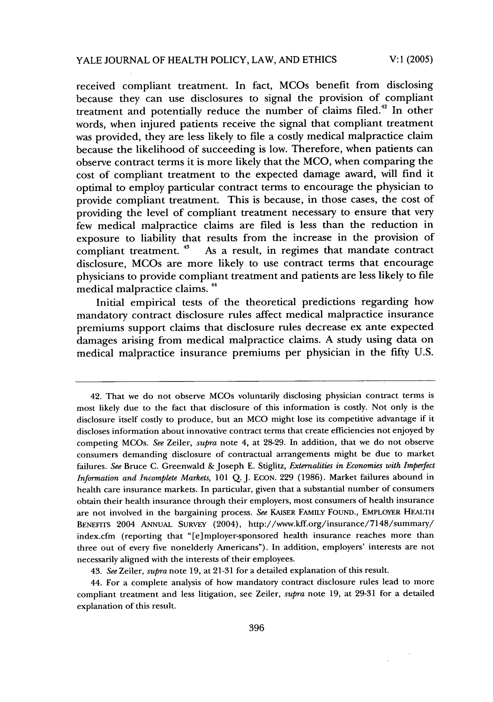V:I1 **(2005)**

received compliant treatment. In fact, MCOs benefit from disclosing because they can use disclosures to signal the provision of compliant treatment and potentially reduce the number of claims filed.<sup>42</sup> In other words, when injured patients receive the signal that compliant treatment was provided, they are less likely to file a costly medical malpractice claim because the likelihood of succeeding is low. Therefore, when patients can observe contract terms it is more likely that the MCO, when comparing the cost of compliant treatment to the expected damage award, will find it optimal to employ particular contract terms to encourage the physician to provide compliant treatment. This is because, in those cases, the cost of providing the level of compliant treatment necessary to ensure that very few medical malpractice claims are filed is less than the reduction in exposure to liability that results from the increase in the provision of compliant treatment.<sup>43</sup> As a result, in regimes that mandate contract disclosure, MCOs are more likely to use contract terms that encourage physicians to provide compliant treatment and patients are less likely to file medical malpractice claims.<sup>44</sup>

Initial empirical tests of the theoretical predictions regarding how mandatory contract disclosure rules affect medical malpractice insurance premiums support claims that disclosure rules decrease ex ante expected damages arising from medical malpractice claims. A study using data on medical malpractice insurance premiums per physician in the fifty U.S.

43. *See* Zeiler, *supra* note 19, at 21-31 for a detailed explanation of this result.

44. For a complete analysis of how mandatory contract disclosure rules lead to more compliant treatment and less litigation, see Zeiler, *supra* note 19, at 29-31 for a detailed explanation of this result.

<sup>42.</sup> That we do not observe MCOs voluntarily disclosing physician contract terms is most likely due to the fact that disclosure of this information is costly. Not only is the disclosure itself costly to produce, but an MCO might lose its competitive advantage if it discloses information about innovative contract terms that create efficiencies not enjoyed by competing MCOs. *See* Zeiler, *supra* note 4, at 28-29. In addition, that we do not observe consumers demanding disclosure of contractual arrangements might be due to market failures. *See* Bruce C. Greenwald & Joseph E. Stiglitz, *Externalities in Economies with Imperfect Information and Incomplete Markets,* 101 Q **J.** ECON. 229 (1986). Market failures abound in health care insurance markets. In particular, given that a substantial number of consumers obtain their health insurance through their employers, most consumers of health insurance are not involved in the bargaining process. *See* KAISER FAMILY FOUND., EMPLOYER HEALTH **BENEFITS** 2004 ANNuAL SURvEY (2004), http://www.kff.org/insurance/7148/summary/ index.cfm (reporting that "[e]mployer-sponsored health insurance reaches more than three out of every five nonelderly Americans"). In addition, employers' interests are not necessarily aligned with the interests of their employees.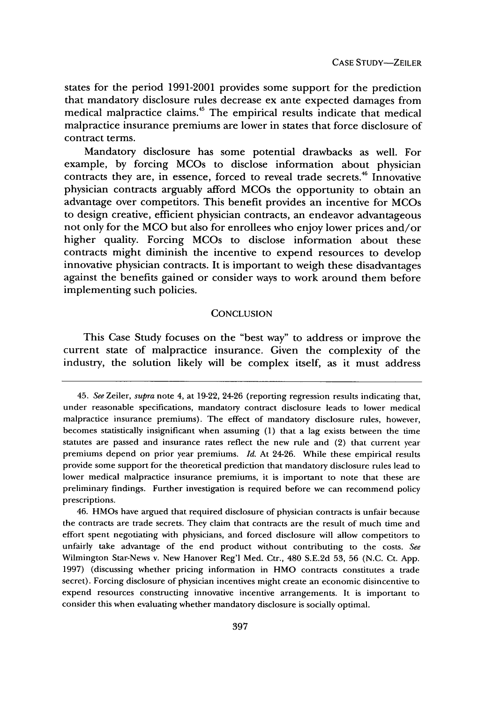states for the period 1991-2001 provides some support for the prediction that mandatory disclosure rules decrease ex ante expected damages from medical malpractice claims.<sup> $45$ </sup> The empirical results indicate that medical malpractice insurance premiums are lower in states that force disclosure of contract terms.

Mandatory disclosure has some potential drawbacks as well. For example, by forcing MCOs to disclose information about physician contracts they are, in essence, forced to reveal trade secrets.<sup>46</sup> Innovative physician contracts arguably afford MCOs the opportunity to obtain an advantage over competitors. This benefit provides an incentive for MCOs to design creative, efficient physician contracts, an endeavor advantageous not only for the MCO but also for enrollees who enjoy lower prices and/or higher quality. Forcing MCOs to disclose information about these contracts might diminish the incentive to expend resources to develop innovative physician contracts. It is important to weigh these disadvantages against the benefits gained or consider ways to work around them before implementing such policies.

#### **CONCLUSION**

This Case Study focuses on the "best way" to address or improve the current state of malpractice insurance. Given the complexity of the industry, the solution likely will be complex itself, as it must address

<sup>45.</sup> *See* Zeiler, *supra* note 4, at 19-22, 24-26 (reporting regression results indicating that, under reasonable specifications, mandatory contract disclosure leads to lower medical malpractice insurance premiums). The effect of mandatory disclosure rules, however, becomes statistically insignificant when assuming (1) that a lag exists between the time statutes are passed and insurance rates reflect the new rule and (2) that current year premiums depend on prior year premiums. *Id.* At 24-26. While these empirical results provide some support for the theoretical prediction that mandatory disclosure rules lead to lower medical malpractice insurance premiums, it is important to note that these are preliminary findings. Further investigation is required before we can recommend policy prescriptions.

<sup>46.</sup> HMOs have argued that required disclosure of physician contracts is unfair because the contracts are trade secrets. They claim that contracts are the result of much time and effort spent negotiating with physicians, and forced disclosure will allow competitors to unfairly take advantage of the end product without contributing to the costs. *See* Wilmington Star-News v. New Hanover Reg'l Med. Ctr., 480 S.E.2d 53, 56 (N.C. Ct. App. 1997) (discussing whether pricing information in HMO contracts constitutes a trade secret). Forcing disclosure of physician incentives might create an economic disincentive to expend resources constructing innovative incentive arrangements. It is important to consider this when evaluating whether mandatory disclosure is socially optimal.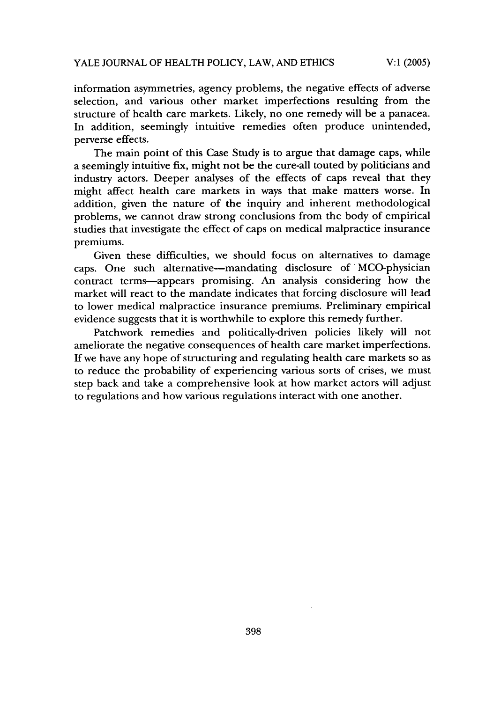information asymmetries, agency problems, the negative effects of adverse selection, and various other market imperfections resulting from the structure of health care markets. Likely, no one remedy will be a panacea. In addition, seemingly intuitive remedies often produce unintended, perverse effects.

The main point of this Case Study is to argue that damage caps, while a seemingly intuitive fix, might not be the cure-all touted by politicians and industry actors. Deeper analyses of the effects of caps reveal that they might affect health care markets in ways that make matters worse. In addition, given the nature of the inquiry and inherent methodological problems, we cannot draw strong conclusions from the body of empirical studies that investigate the effect of caps on medical malpractice insurance premiums.

Given these difficulties, we should focus on alternatives to damage caps. One such alternative-mandating disclosure of MCO-physician contract terms-appears promising. An analysis considering how the market will react to the mandate indicates that forcing disclosure will lead to lower medical malpractice insurance premiums. Preliminary empirical evidence suggests that it is worthwhile to explore this remedy further.

Patchwork remedies and politically-driven policies likely will not ameliorate the negative consequences of health care market imperfections. If we have any hope of structuring and regulating health care markets so as to reduce the probability of experiencing various sorts of crises, we must step back and take a comprehensive look at how market actors will adjust to regulations and how various regulations interact with one another.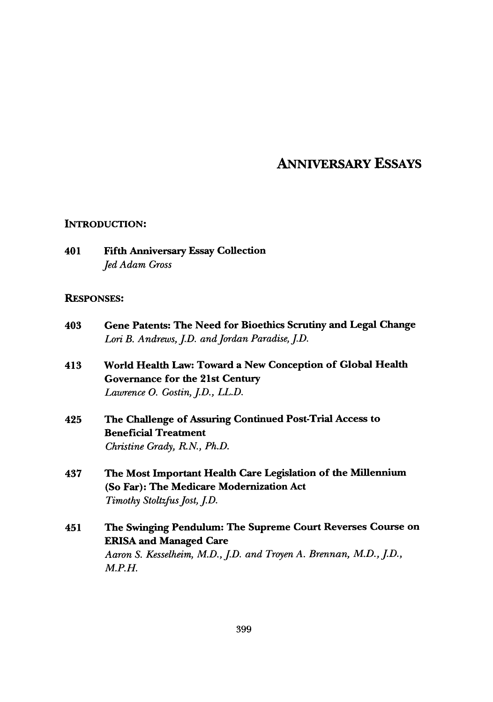# ANNiVERSARY ESSAYS

## INTRODUCTION:

401 Fifth Anniversary Essay Collection *Jed Adam Gross*

### RESPONSES:

| 403 | Gene Patents: The Need for Bioethics Scrutiny and Legal Change<br>Lori B. Andrews, J.D. and Jordan Paradise, J.D. |
|-----|-------------------------------------------------------------------------------------------------------------------|
|     |                                                                                                                   |
| 413 | World Health Law: Toward a New Conception of Global Health                                                        |
|     | <b>Governance for the 21st Century</b>                                                                            |
|     | Lawrence O. Gostin, J.D., L.L.D.                                                                                  |
| 425 | The Challenge of Assuring Continued Post-Trial Access to                                                          |
|     | <b>Beneficial Treatment</b>                                                                                       |
|     | Christine Grady, R.N., Ph.D.                                                                                      |
| 437 | The Most Important Health Care Legislation of the Millennium                                                      |
|     | (So Far): The Medicare Modernization Act                                                                          |
|     | Timothy Stoltzfus Jost, J.D.                                                                                      |
| 451 | The Swinging Pendulum: The Supreme Court Reverses Course on                                                       |
|     | <b>ERISA and Managed Care</b>                                                                                     |
|     | Aaron S. Kesselheim, M.D., J.D. and Troyen A. Brennan, M.D., J.D.,                                                |
|     | M.P.H.                                                                                                            |